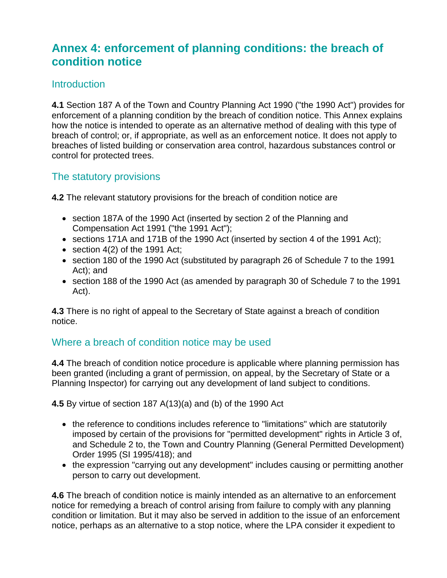# **Annex 4: enforcement of planning conditions: the breach of condition notice**

#### **Introduction**

**4.1** Section 187 A of the Town and Country Planning Act 1990 ("the 1990 Act") provides for enforcement of a planning condition by the breach of condition notice. This Annex explains how the notice is intended to operate as an alternative method of dealing with this type of breach of control; or, if appropriate, as well as an enforcement notice. It does not apply to breaches of listed building or conservation area control, hazardous substances control or control for protected trees.

#### The statutory provisions

**4.2** The relevant statutory provisions for the breach of condition notice are

- section 187A of the 1990 Act (inserted by section 2 of the Planning and Compensation Act 1991 ("the 1991 Act");
- sections 171A and 171B of the 1990 Act (inserted by section 4 of the 1991 Act);
- section  $4(2)$  of the 1991 Act;
- section 180 of the 1990 Act (substituted by paragraph 26 of Schedule 7 to the 1991 Act); and
- section 188 of the 1990 Act (as amended by paragraph 30 of Schedule 7 to the 1991 Act).

**4.3** There is no right of appeal to the Secretary of State against a breach of condition notice.

#### Where a breach of condition notice may be used

**4.4** The breach of condition notice procedure is applicable where planning permission has been granted (including a grant of permission, on appeal, by the Secretary of State or a Planning Inspector) for carrying out any development of land subject to conditions.

**4.5** By virtue of section 187 A(13)(a) and (b) of the 1990 Act

- the reference to conditions includes reference to "limitations" which are statutorily imposed by certain of the provisions for "permitted development" rights in Article 3 of, and Schedule 2 to, the Town and Country Planning (General Permitted Development) Order 1995 (SI 1995/418); and
- the expression "carrying out any development" includes causing or permitting another person to carry out development.

**4.6** The breach of condition notice is mainly intended as an alternative to an enforcement notice for remedying a breach of control arising from failure to comply with any planning condition or limitation. But it may also be served in addition to the issue of an enforcement notice, perhaps as an alternative to a stop notice, where the LPA consider it expedient to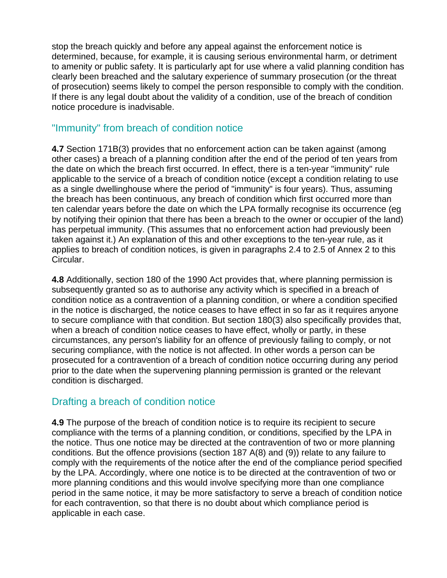stop the breach quickly and before any appeal against the enforcement notice is determined, because, for example, it is causing serious environmental harm, or detriment to amenity or public safety. It is particularly apt for use where a valid planning condition has clearly been breached and the salutary experience of summary prosecution (or the threat of prosecution) seems likely to compel the person responsible to comply with the condition. If there is any legal doubt about the validity of a condition, use of the breach of condition notice procedure is inadvisable.

#### "Immunity" from breach of condition notice

**4.7** Section 171B(3) provides that no enforcement action can be taken against (among other cases) a breach of a planning condition after the end of the period of ten years from the date on which the breach first occurred. In effect, there is a ten-year "immunity" rule applicable to the service of a breach of condition notice (except a condition relating to use as a single dwellinghouse where the period of "immunity" is four years). Thus, assuming the breach has been continuous, any breach of condition which first occurred more than ten calendar years before the date on which the LPA formally recognise its occurrence (eg by notifying their opinion that there has been a breach to the owner or occupier of the land) has perpetual immunity. (This assumes that no enforcement action had previously been taken against it.) An explanation of this and other exceptions to the ten-year rule, as it applies to breach of condition notices, is given in paragraphs 2.4 to 2.5 of Annex 2 to this Circular.

**4.8** Additionally, section 180 of the 1990 Act provides that, where planning permission is subsequently granted so as to authorise any activity which is specified in a breach of condition notice as a contravention of a planning condition, or where a condition specified in the notice is discharged, the notice ceases to have effect in so far as it requires anyone to secure compliance with that condition. But section 180(3) also specifically provides that, when a breach of condition notice ceases to have effect, wholly or partly, in these circumstances, any person's liability for an offence of previously failing to comply, or not securing compliance, with the notice is not affected. In other words a person can be prosecuted for a contravention of a breach of condition notice occurring during any period prior to the date when the supervening planning permission is granted or the relevant condition is discharged.

### Drafting a breach of condition notice

**4.9** The purpose of the breach of condition notice is to require its recipient to secure compliance with the terms of a planning condition, or conditions, specified by the LPA in the notice. Thus one notice may be directed at the contravention of two or more planning conditions. But the offence provisions (section 187 A(8) and (9)) relate to any failure to comply with the requirements of the notice after the end of the compliance period specified by the LPA. Accordingly, where one notice is to be directed at the contravention of two or more planning conditions and this would involve specifying more than one compliance period in the same notice, it may be more satisfactory to serve a breach of condition notice for each contravention, so that there is no doubt about which compliance period is applicable in each case.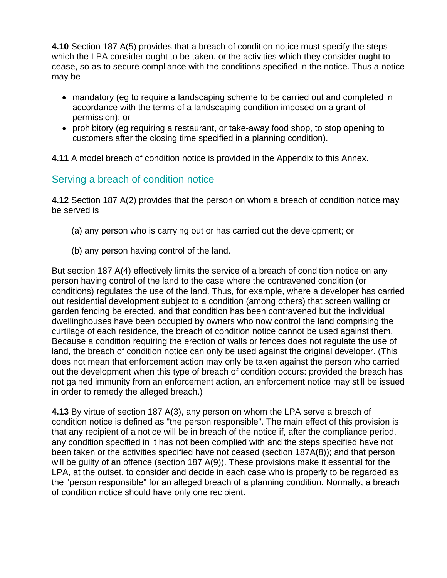**4.10** Section 187 A(5) provides that a breach of condition notice must specify the steps which the LPA consider ought to be taken, or the activities which they consider ought to cease, so as to secure compliance with the conditions specified in the notice. Thus a notice may be -

- mandatory (eg to require a landscaping scheme to be carried out and completed in accordance with the terms of a landscaping condition imposed on a grant of permission); or
- prohibitory (eg requiring a restaurant, or take-away food shop, to stop opening to customers after the closing time specified in a planning condition).

**4.11** A model breach of condition notice is provided in the Appendix to this Annex.

#### Serving a breach of condition notice

**4.12** Section 187 A(2) provides that the person on whom a breach of condition notice may be served is

- (a) any person who is carrying out or has carried out the development; or
- (b) any person having control of the land.

But section 187 A(4) effectively limits the service of a breach of condition notice on any person having control of the land to the case where the contravened condition (or conditions) regulates the use of the land. Thus, for example, where a developer has carried out residential development subject to a condition (among others) that screen walling or garden fencing be erected, and that condition has been contravened but the individual dwellinghouses have been occupied by owners who now control the land comprising the curtilage of each residence, the breach of condition notice cannot be used against them. Because a condition requiring the erection of walls or fences does not regulate the use of land, the breach of condition notice can only be used against the original developer. (This does not mean that enforcement action may only be taken against the person who carried out the development when this type of breach of condition occurs: provided the breach has not gained immunity from an enforcement action, an enforcement notice may still be issued in order to remedy the alleged breach.)

**4.13** By virtue of section 187 A(3), any person on whom the LPA serve a breach of condition notice is defined as "the person responsible". The main effect of this provision is that any recipient of a notice will be in breach of the notice if, after the compliance period, any condition specified in it has not been complied with and the steps specified have not been taken or the activities specified have not ceased (section 187A(8)); and that person will be guilty of an offence (section 187 A(9)). These provisions make it essential for the LPA, at the outset, to consider and decide in each case who is properly to be regarded as the "person responsible" for an alleged breach of a planning condition. Normally, a breach of condition notice should have only one recipient.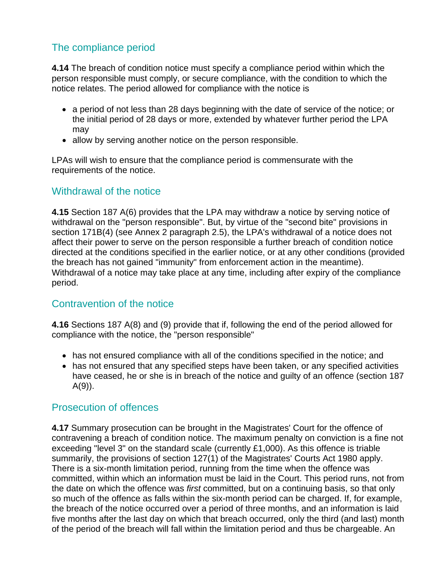### The compliance period

**4.14** The breach of condition notice must specify a compliance period within which the person responsible must comply, or secure compliance, with the condition to which the notice relates. The period allowed for compliance with the notice is

- a period of not less than 28 days beginning with the date of service of the notice; or the initial period of 28 days or more, extended by whatever further period the LPA may
- allow by serving another notice on the person responsible.

LPAs will wish to ensure that the compliance period is commensurate with the requirements of the notice.

#### Withdrawal of the notice

**4.15** Section 187 A(6) provides that the LPA may withdraw a notice by serving notice of withdrawal on the "person responsible". But, by virtue of the "second bite" provisions in section 171B(4) (see Annex 2 paragraph 2.5), the LPA's withdrawal of a notice does not affect their power to serve on the person responsible a further breach of condition notice directed at the conditions specified in the earlier notice, or at any other conditions (provided the breach has not gained "immunity" from enforcement action in the meantime). Withdrawal of a notice may take place at any time, including after expiry of the compliance period.

### Contravention of the notice

**4.16** Sections 187 A(8) and (9) provide that if, following the end of the period allowed for compliance with the notice, the "person responsible"

- has not ensured compliance with all of the conditions specified in the notice; and
- has not ensured that any specified steps have been taken, or any specified activities have ceased, he or she is in breach of the notice and guilty of an offence (section 187  $A(9)$ ).

### Prosecution of offences

**4.17** Summary prosecution can be brought in the Magistrates' Court for the offence of contravening a breach of condition notice. The maximum penalty on conviction is a fine not exceeding "level 3" on the standard scale (currently £1,000). As this offence is triable summarily, the provisions of section 127(1) of the Magistrates' Courts Act 1980 apply. There is a six-month limitation period, running from the time when the offence was committed, within which an information must be laid in the Court. This period runs, not from the date on which the offence was *first* committed, but on a continuing basis, so that only so much of the offence as falls within the six-month period can be charged. If, for example, the breach of the notice occurred over a period of three months, and an information is laid five months after the last day on which that breach occurred, only the third (and last) month of the period of the breach will fall within the limitation period and thus be chargeable. An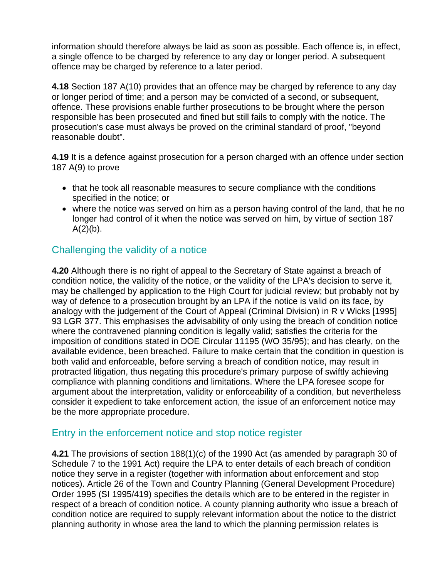information should therefore always be laid as soon as possible. Each offence is, in effect, a single offence to be charged by reference to any day or longer period. A subsequent offence may be charged by reference to a later period.

**4.18** Section 187 A(10) provides that an offence may be charged by reference to any day or longer period of time; and a person may be convicted of a second, or subsequent, offence. These provisions enable further prosecutions to be brought where the person responsible has been prosecuted and fined but still fails to comply with the notice. The prosecution's case must always be proved on the criminal standard of proof, "beyond reasonable doubt".

**4.19** It is a defence against prosecution for a person charged with an offence under section 187 A(9) to prove

- that he took all reasonable measures to secure compliance with the conditions specified in the notice; or
- where the notice was served on him as a person having control of the land, that he no longer had control of it when the notice was served on him, by virtue of section 187  $A(2)(b)$ .

## Challenging the validity of a notice

**4.20** Although there is no right of appeal to the Secretary of State against a breach of condition notice, the validity of the notice, or the validity of the LPA's decision to serve it, may be challenged by application to the High Court for judicial review; but probably not by way of defence to a prosecution brought by an LPA if the notice is valid on its face, by analogy with the judgement of the Court of Appeal (Criminal Division) in R v Wicks [1995] 93 LGR 377. This emphasises the advisability of only using the breach of condition notice where the contravened planning condition is legally valid; satisfies the criteria for the imposition of conditions stated in DOE Circular 11195 (WO 35/95); and has clearly, on the available evidence, been breached. Failure to make certain that the condition in question is both valid and enforceable, before serving a breach of condition notice, may result in protracted litigation, thus negating this procedure's primary purpose of swiftly achieving compliance with planning conditions and limitations. Where the LPA foresee scope for argument about the interpretation, validity or enforceability of a condition, but nevertheless consider it expedient to take enforcement action, the issue of an enforcement notice may be the more appropriate procedure.

#### Entry in the enforcement notice and stop notice register

**4.21** The provisions of section 188(1)(c) of the 1990 Act (as amended by paragraph 30 of Schedule 7 to the 1991 Act) require the LPA to enter details of each breach of condition notice they serve in a register (together with information about enforcement and stop notices). Article 26 of the Town and Country Planning (General Development Procedure) Order 1995 (SI 1995/419) specifies the details which are to be entered in the register in respect of a breach of condition notice. A county planning authority who issue a breach of condition notice are required to supply relevant information about the notice to the district planning authority in whose area the land to which the planning permission relates is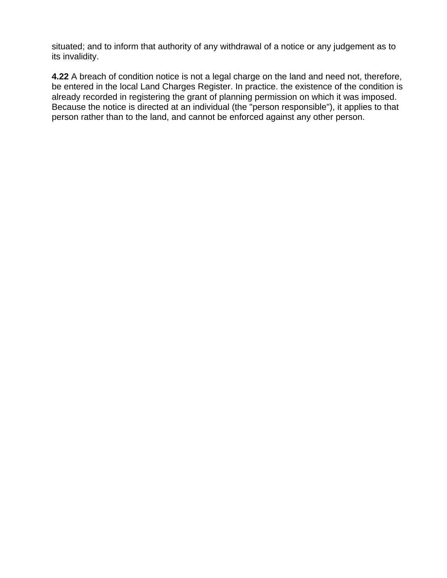situated; and to inform that authority of any withdrawal of a notice or any judgement as to its invalidity.

**4.22** A breach of condition notice is not a legal charge on the land and need not, therefore, be entered in the local Land Charges Register. In practice. the existence of the condition is already recorded in registering the grant of planning permission on which it was imposed. Because the notice is directed at an individual (the "person responsible"), it applies to that person rather than to the land, and cannot be enforced against any other person.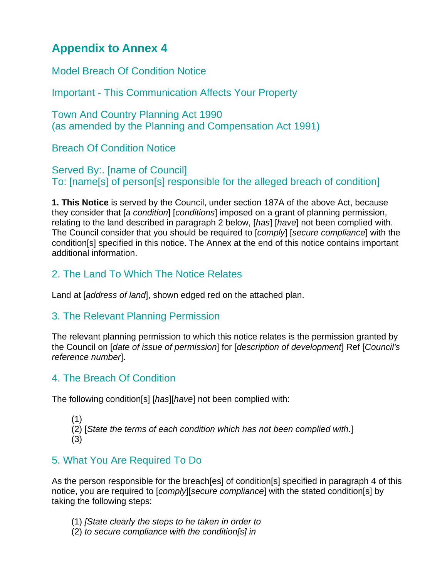# **Appendix to Annex 4**

Model Breach Of Condition Notice

Important - This Communication Affects Your Property

Town And Country Planning Act 1990 (as amended by the Planning and Compensation Act 1991)

Breach Of Condition Notice

Served By:. [name of Council] To: [name[s] of person[s] responsible for the alleged breach of condition]

**1. This Notice** is served by the Council, under section 187A of the above Act, because they consider that [*a condition*] [*conditions*] imposed on a grant of planning permission, relating to the land described in paragraph 2 below, [*has*] [*have*] not been complied with. The Council consider that you should be required to [*comply*] [*secure compliance*] with the condition[s] specified in this notice. The Annex at the end of this notice contains important additional information.

# 2. The Land To Which The Notice Relates

Land at [*address of land*], shown edged red on the attached plan.

# 3. The Relevant Planning Permission

The relevant planning permission to which this notice relates is the permission granted by the Council on [*date of issue of permission*] for [*description of development*] Ref [*Council's reference number*].

# 4. The Breach Of Condition

The following condition[s] [*has*][*have*] not been complied with:

(1) (2) [*State the terms of each condition which has not been complied with*.] (3)

# 5. What You Are Required To Do

As the person responsible for the breach[es] of condition[s] specified in paragraph 4 of this notice, you are required to [*comply*][*secure compliance*] with the stated condition[s] by taking the following steps:

- (1) *[State clearly the steps to he taken in order to*
- (2) *to secure compliance with the condition[s] in*